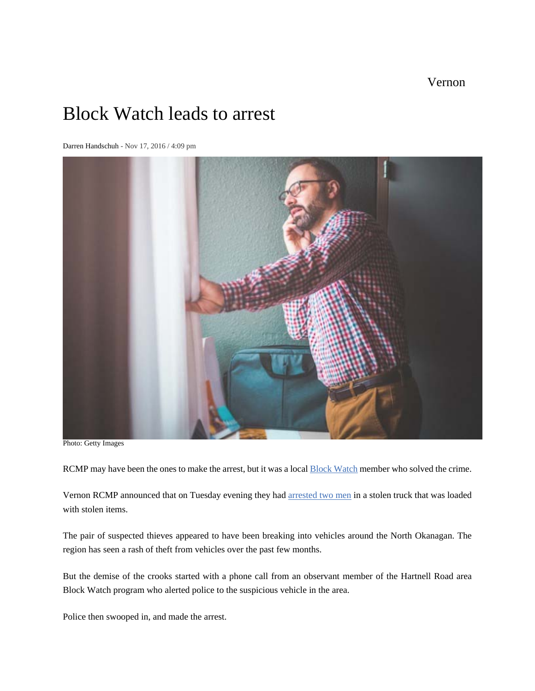Vernon

## Block Watch leads to arrest

Darren Handschuh - Nov 17, 2016 / 4:09 pm



Photo: Getty Images

RCMP may have been the ones to make the arrest, but it was a local **Block Watch member who solved the crime**.

Vernon RCMP announced that on Tuesday evening they had arrested two men in a stolen truck that was loaded with stolen items.

The pair of suspected thieves appeared to have been breaking into vehicles around the North Okanagan. The region has seen a rash of theft from vehicles over the past few months.

But the demise of the crooks started with a phone call from an observant member of the Hartnell Road area Block Watch program who alerted police to the suspicious vehicle in the area.

Police then swooped in, and made the arrest.